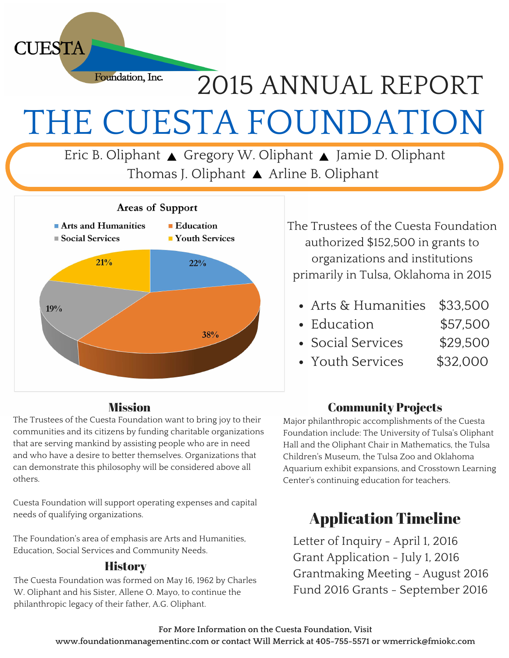Foundation, Inc.

**CUESTA** 

# THE CUESTA FOUNDATION 2015 ANNUAL REPORT

Eric B. Oliphant ▲ Gregory W. Oliphant ▲ Jamie D. Oliphant Thomas J. Oliphant ▲ Arline B. Oliphant



#### **Mission**

The Trustees of the Cuesta Foundation want to bring joy to their communities and its citizens by funding charitable organizations that are serving mankind by assisting people who are in need and who have a desire to better themselves. Organizations that can demonstrate this philosophy will be considered above all others.

Cuesta Foundation will support operating expenses and capital needs of qualifying organizations.

The Foundation's area of emphasis are Arts and Humanities, Education, Social Services and Community Needs.

#### **History**

The Cuesta Foundation was formed on May 16, 1962 by Charles W. Oliphant and his Sister, Allene O. Mayo, to continue the philanthropic legacy of their father, A.G. Oliphant.

The Trustees of the Cuesta Foundation authorized \$152,500 in grants to organizations and institutions primarily in Tulsa, Oklahoma in 2015

- Arts & Humanities \$33,500
- Education \$57,500
- Social Services \$29,500
- Youth Services \$32,000

### Community Projects

Major philanthropic accomplishments of the Cuesta Foundation include: The University of Tulsa's Oliphant Hall and the Oliphant Chair in Mathematics, the Tulsa Children's Museum, the Tulsa Zoo and Oklahoma Aquarium exhibit expansions, and Crosstown Learning Center's continuing education for teachers.

## Application Timeline

Letter of Inquiry - April 1, 2016 Grant Application - July 1, 2016 Grantmaking Meeting - August 2016 Fund 2016 Grants - September 2016